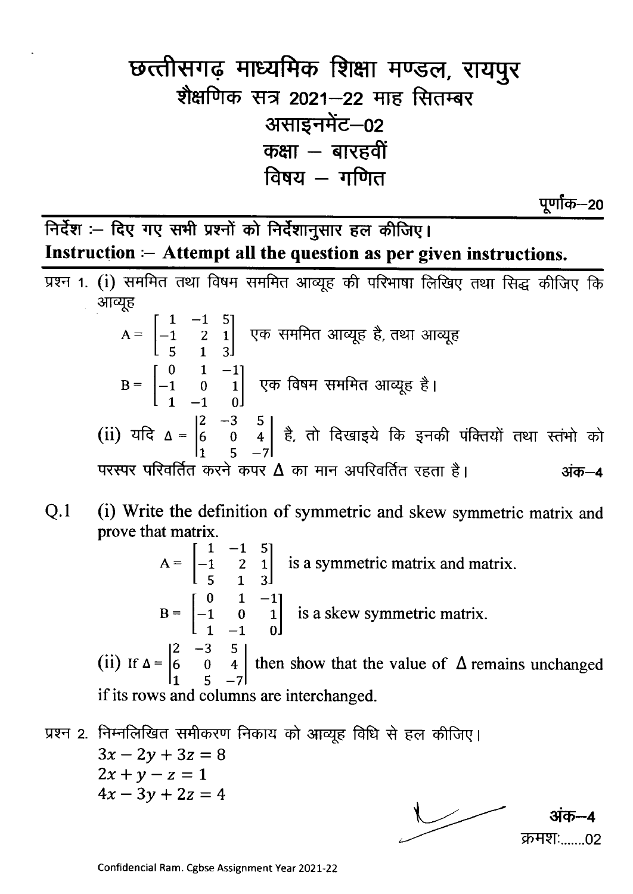## छत्तीसगढ़ माध्यमिक शिक्षा मण्डल, रायपुर शैक्षणिक सत्र 2021-22 माह सितम्बर असाइनमेंट-02 कक्षा – बारहवीं विषय  $-$  गणित

पूर्णाक–20

क़मशः......02

निर्देश :- दिए गए सभी प्रश्नों को निर्देशानुसार हल कीजिए। Instruction  $-$  Attempt all the question as per given instructions.

- प्रश्न 1. (i) सममित तथा विषम सममित आव्यूह की परिभाषा लिखिए तथा सिद्ध कीजिए कि आव्यूह A =  $\begin{bmatrix} 1 & -1 & 5 \\ -1 & 2 & 1 \\ 5 & 1 & 3 \end{bmatrix}$  एक सममित आव्यूह है, तथा आव्यूह B =  $\begin{bmatrix} 0 & 1 & -1 \\ -1 & 0 & 1 \\ 1 & -1 & 0 \end{bmatrix}$  एक विषम सममित आव्यूह है। (ii) यदि  $\Delta = \begin{vmatrix} 2 & -3 & 5 \\ 6 & 0 & 4 \\ 1 & 5 & -7 \end{vmatrix}$  है, तो दिखाइये कि इनकी पंक्तियों तथा स्तंभो को परस्पर परिवर्तित करने कपर  $\Delta$  का मान अपरिवर्तित रहता है। अंक–4
- $Q.1$ (i) Write the definition of symmetric and skew symmetric matrix and prove that matrix.
	- at matrix.<br>  $A = \begin{bmatrix} 1 & -1 & 5 \\ -1 & 2 & 1 \\ 5 & 1 & 3 \end{bmatrix}$  is a symmetric matrix and matrix.<br>  $B = \begin{bmatrix} 0 & 1 & -1 \\ -1 & 0 & 1 \\ 1 & -1 & 0 \end{bmatrix}$  is a skew symmetric matrix. (ii) If  $\Delta = \begin{vmatrix} 2 & -3 & 5 \\ 6 & 0 & 4 \\ 1 & 5 & -7 \end{vmatrix}$  then show that the value of  $\Delta$  remains unchanged if its rows and columns are interchanged.
- प्रश्न 2. निम्नलिखित समीकरण निकाय को आव्यूह विधि से हल कीजिए।  $3x - 2y + 3z = 8$  $2x + y - z = 1$  $4x - 3y + 2z = 4$